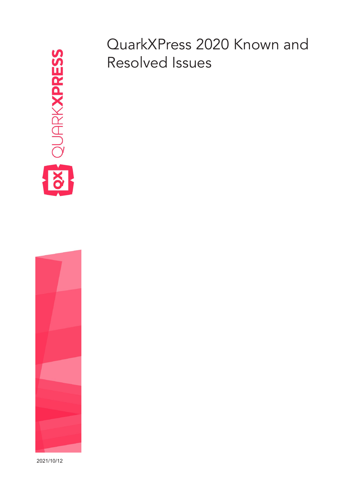

QuarkXPress 2020 Known and Resolved Issues

2021/10/12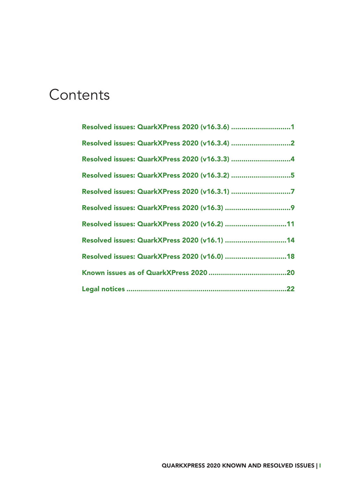#### **Contents**

| Resolved issues: QuarkXPress 2020 (v16.3.6) 1 |
|-----------------------------------------------|
|                                               |
| Resolved issues: QuarkXPress 2020 (v16.3.3) 4 |
| Resolved issues: QuarkXPress 2020 (v16.3.2) 5 |
|                                               |
|                                               |
| Resolved issues: QuarkXPress 2020 (v16.2) 11  |
| Resolved issues: QuarkXPress 2020 (v16.1) 14  |
| Resolved issues: QuarkXPress 2020 (v16.0) 18  |
|                                               |
|                                               |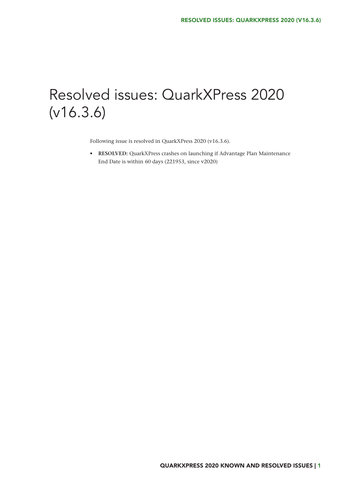# <span id="page-2-0"></span>Resolved issues: QuarkXPress 2020 (v16.3.6)

Following issue is resolved in QuarkXPress 2020 (v16.3.6).

**• RESOLVED:** QuarkXPress crashes on launching if Advantage Plan Maintenance End Date is within 60 days (221953, since v2020)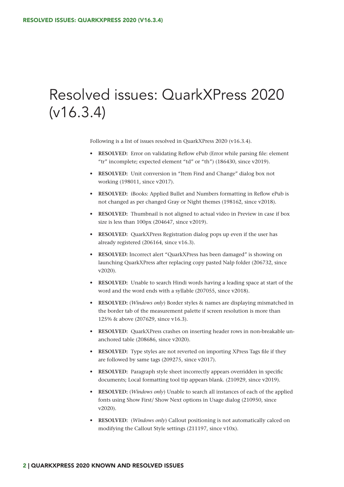## <span id="page-3-0"></span>Resolved issues: QuarkXPress 2020 (v16.3.4)

Following is a list of issues resolved in QuarkXPress 2020 (v16.3.4).

- **• RESOLVED:** Error on validating Reflow ePub (Error while parsing file: element "tr" incomplete; expected element "td" or "th") (186430, since v2019).
- **• RESOLVED:** Unit conversion in "Item Find and Change" dialog box not working (198011, since v2017).
- **• RESOLVED:** iBooks: Applied Bullet and Numbers formatting in Reflow ePub is not changed as per changed Gray or Night themes (198162, since v2018).
- **• RESOLVED:** Thumbnail is not aligned to actual video in Preview in case if box size is less than 100px (204647, since v2019).
- **• RESOLVED:** QuarkXPress Registration dialog pops up even if the user has already registered (206164, since v16.3).
- **• RESOLVED:** Incorrect alert "QuarkXPress has been damaged" is showing on launching QuarkXPress after replacing copy pasted Nalp folder (206732, since v2020).
- **• RESOLVED:** Unable to search Hindi words having a leading space at start of the word and the word ends with a syllable (207055, since v2018).
- **• RESOLVED:** (*Windows only*) Border styles & names are displaying mismatched in the border tab of the measurement palette if screen resolution is more than 125% & above (207629, since v16.3).
- **• RESOLVED:** QuarkXPress crashes on inserting header rows in non-breakable unanchored table (208686, since v2020).
- **• RESOLVED:** Type styles are not reverted on importing XPress Tags file if they are followed by same tags (209275, since v2017).
- **• RESOLVED:** Paragraph style sheet incorrectly appears overridden in specific documents; Local formatting tool tip appears blank. (210929, since v2019).
- **• RESOLVED:** (*Windows only*) Unable to search all instances of each of the applied fonts using Show First/ Show Next options in Usage dialog (210950, since v2020).
- **• RESOLVED:** (*Windows only*) Callout positioning is not automatically calced on modifying the Callout Style settings (211197, since v10x).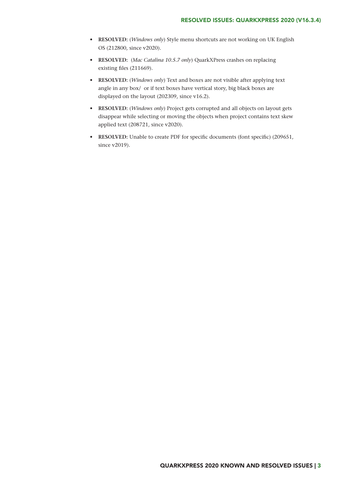- **• RESOLVED:** (*Windows only*) Style menu shortcuts are not working on UK English OS (212800, since v2020).
- **• RESOLVED:** (*Mac Catalina 10.5.7 only*) QuarkXPress crashes on replacing existing files (211669).
- **• RESOLVED:** (*Windows only*) Text and boxes are not visible after applying text angle in any box/ or if text boxes have vertical story, big black boxes are displayed on the layout (202309, since v16.2).
- **• RESOLVED:** (*Windows only*) Project gets corrupted and all objects on layout gets disappear while selecting or moving the objects when project contains text skew applied text (208721, since v2020).
- **RESOLVED:** Unable to create PDF for specific documents (font specific) (209651, since v2019).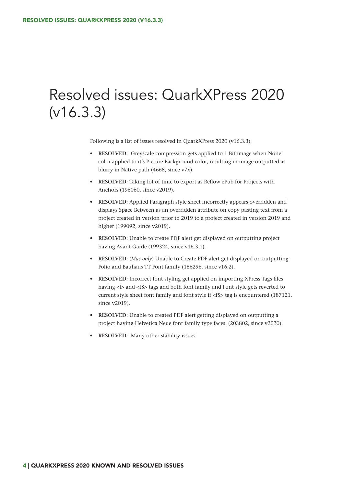## <span id="page-5-0"></span>Resolved issues: QuarkXPress 2020 (v16.3.3)

Following is a list of issues resolved in QuarkXPress 2020 (v16.3.3).

- **• RESOLVED:** Greyscale compression gets applied to 1 Bit image when None color applied to it's Picture Background color, resulting in image outputted as blurry in Native path (4668, since v7x).
- **• RESOLVED:** Taking lot of time to export as Reflow ePub for Projects with Anchors (196060, since v2019).
- **• RESOLVED:** Applied Paragraph style sheet incorrectly appears overridden and displays Space Between as an overridden attribute on copy pasting text from a project created in version prior to 2019 to a project created in version 2019 and higher (199092, since v2019).
- **• RESOLVED:** Unable to create PDF alert get displayed on outputting project having Avant Garde (199324, since v16.3.1).
- **• RESOLVED:** (*Mac only*) Unable to Create PDF alert get displayed on outputting Folio and Bauhaus TT Font family (186296, since v16.2).
- **• RESOLVED:** Incorrect font styling get applied on importing XPress Tags files having <f> and <f\$> tags and both font family and Font style gets reverted to current style sheet font family and font style if <f\$> tag is encountered (187121, since v2019).
- **• RESOLVED:** Unable to created PDF alert getting displayed on outputting a project having Helvetica Neue font family type faces. (203802, since v2020).
- **• RESOLVED:** Many other stability issues.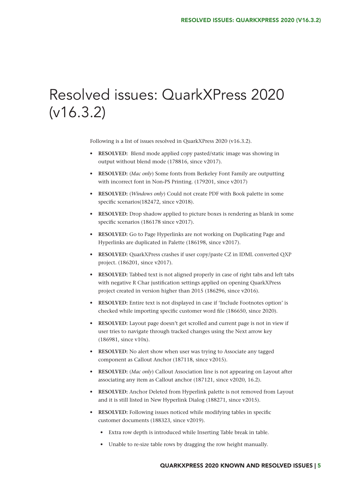# <span id="page-6-0"></span>Resolved issues: QuarkXPress 2020 (v16.3.2)

Following is a list of issues resolved in QuarkXPress 2020 (v16.3.2).

- **• RESOLVED:** Blend mode applied copy pasted/static image was showing in output without blend mode (178816, since v2017).
- **• RESOLVED:** (*Mac only*) Some fonts from Berkeley Font Family are outputting with incorrect font in Non-PS Printing. (179201, since v2017)
- **• RESOLVED:** (*Windows only*) Could not create PDF with Book palette in some specific scenarios(182472, since v2018).
- **• RESOLVED:** Drop shadow applied to picture boxes is rendering as blank in some specific scenarios (186178 since v2017).
- **• RESOLVED:** Go to Page Hyperlinks are not working on Duplicating Page and Hyperlinks are duplicated in Palette (186198, since v2017).
- **• RESOLVED:** QuarkXPress crashes if user copy/paste CZ in IDML converted QXP project. (186201, since v2017).
- **• RESOLVED:** Tabbed text is not aligned properly in case of right tabs and left tabs with negative R Char justification settings applied on opening QuarkXPress project created in version higher than 2015 (186296, since v2016).
- **• RESOLVED:** Entire text is not displayed in case if 'Include Footnotes option' is checked while importing specific customer word file (186650, since 2020).
- **• RESOLVED:** Layout page doesn't get scrolled and current page is not in view if user tries to navigate through tracked changes using the Next arrow key (186981, since v10x).
- **• RESOLVED:** No alert show when user was trying to Associate any tagged component as Callout Anchor (187118, since v2015).
- **• RESOLVED:** (*Mac only*) Callout Association line is not appearing on Layout after associating any item as Callout anchor (187121, since v2020, 16.2).
- **• RESOLVED:** Anchor Deleted from Hyperlink palette is not removed from Layout and it is still listed in New Hyperlink Dialog (188271, since v2015).
- **• RESOLVED:** Following issues noticed while modifying tables in specific customer documents (188323, since v2019).
	- Extra row depth is introduced while Inserting Table break in table.
	- Unable to re-size table rows by dragging the row height manually.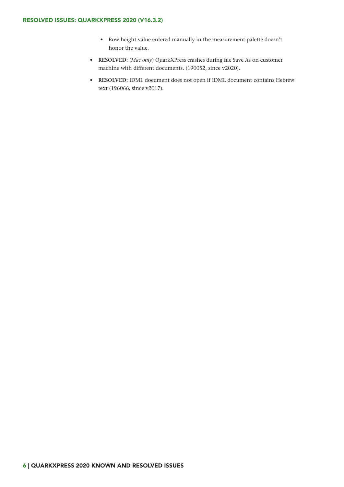- Row height value entered manually in the measurement palette doesn't honor the value.
- **• RESOLVED:** (*Mac only*) QuarkXPress crashes during file Save As on customer machine with different documents. (190052, since v2020).
- **• RESOLVED:** IDML document does not open if IDML document contains Hebrew text (196066, since v2017).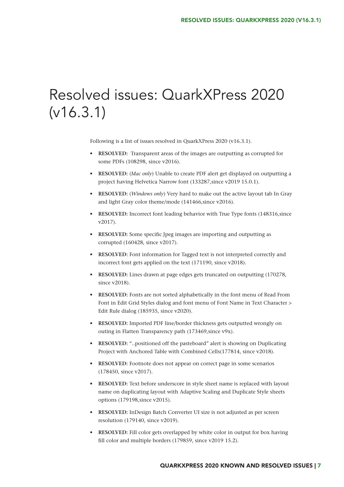# <span id="page-8-0"></span>Resolved issues: QuarkXPress 2020 (v16.3.1)

Following is a list of issues resolved in QuarkXPress 2020 (v16.3.1).

- **• RESOLVED:** Transparent areas of the images are outputting as corrupted for some PDFs (108298, since v2016).
- **• RESOLVED:** (*Mac only*) Unable to create PDF alert get displayed on outputting a project having Helvetica Narrow font (133287,since v2019 15.0.1).
- **• RESOLVED:** (*Windows only*) Very hard to make out the active layout tab In Gray and light Gray color theme/mode (141466,since v2016).
- **• RESOLVED:** Incorrect font leading behavior with True Type fonts (148316,since v2017).
- **• RESOLVED:** Some specific Jpeg images are importing and outputting as corrupted (160428, since v2017).
- **• RESOLVED:** Font information for Tagged text is not interpreted correctly and incorrect font gets applied on the text (171190, since v2018).
- **• RESOLVED:** Lines drawn at page edges gets truncated on outputting (170278, since v2018).
- **• RESOLVED:** Fonts are not sorted alphabetically in the font menu of Read From Font in Edit Grid Styles dialog and font menu of Font Name in Text Character > Edit Rule dialog (185935, since v2020).
- **• RESOLVED:** Imported PDF line/border thickness gets outputted wrongly on outing in Flatten Transparency path (173469, since v9x).
- **• RESOLVED:** "..positioned off the pasteboard" alert is showing on Duplicating Project with Anchored Table with Combined Cells(177814, since v2018).
- **• RESOLVED:** Footnote does not appear on correct page in some scenarios (178450, since v2017).
- **• RESOLVED:** Text before underscore in style sheet name is replaced with layout name on duplicating layout with Adaptive Scaling and Duplicate Style sheets options (179198,since v2015).
- **• RESOLVED:** InDesign Batch Converter UI size is not adjusted as per screen resolution (179140, since v2019).
- **• RESOLVED:** Fill color gets overlapped by white color in output for box having fill color and multiple borders (179859, since v2019 15.2).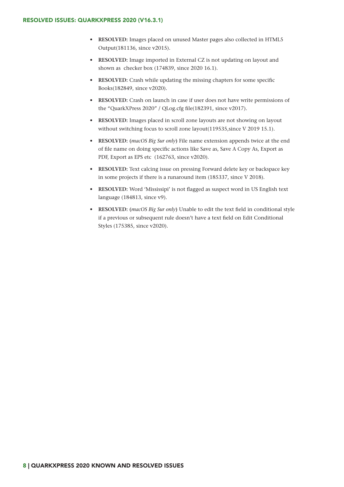- **• RESOLVED:** Images placed on unused Master pages also collected in HTML5 Output(181136, since v2015).
- **• RESOLVED:** Image imported in External CZ is not updating on layout and shown as checker box (174839, since 2020 16.1).
- **RESOLVED:** Crash while updating the missing chapters for some specific Books(182849, since v2020).
- **• RESOLVED:** Crash on launch in case if user does not have write permissions of the "QuarkXPress 2020" / QLog.cfg file(182391, since v2017).
- **• RESOLVED:** Images placed in scroll zone layouts are not showing on layout without switching focus to scroll zone layout(119535, since V 2019 15.1).
- **• RESOLVED: (***macOS Big Sur only***)** File name extension appends twice at the end of file name on doing specific actions like Save as, Save A Copy As, Export as PDF, Export as EPS etc (162763, since v2020).
- **• RESOLVED:** Text calcing issue on pressing Forward delete key or backspace key in some projects if there is a runaround item (185337, since V 2018).
- **• RESOLVED:** Word 'Mississipi' is not flagged as suspect word in US English text language (184813, since v9).
- **• RESOLVED: (***macOS Big Sur only***)** Unable to edit the text field in conditional style if a previous or subsequent rule doesn't have a text field on Edit Conditional Styles (175385, since v2020).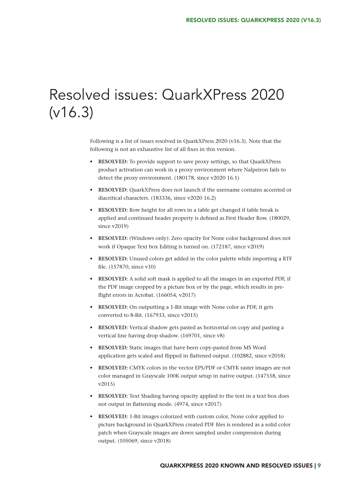## <span id="page-10-0"></span>Resolved issues: QuarkXPress 2020 (v16.3)

Following is a list of issues resolved in QuarkXPress 2020 (v16.3). Note that the following is not an exhaustive list of all fixes in this version.

- **• RESOLVED:** To provide support to save proxy settings, so that QuarkXPress product activation can work in a proxy environment where Nalpeiron fails to detect the proxy environment. (180178, since v2020 16.1)
- **• RESOLVED:** QuarkXPress does not launch if the username contains accented or diacritical characters. (183336, since v2020 16.2)
- **• RESOLVED:** Row height for all rows in a table get changed if table break is applied and continued header property is defined as First Header Row. (180029, since v2019)
- **• RESOLVED:** (Windows only): Zero opacity for None color background does not work if Opaque Text box Editing is turned on. (172187, since v2019)
- **• RESOLVED:** Unused colors get added in the color palette while importing a RTF file. (157870, since v10)
- **• RESOLVED:** A solid soft mask is applied to all the images in an exported PDF, if the PDF image cropped by a picture box or by the page, which results in preflight errors in Acrobat. (166054, v2017)
- **• RESOLVED:** On outputting a 1-Bit image with None color as PDF, it gets converted to 8-Bit. (167933, since v2015)
- **• RESOLVED:** Vertical shadow gets pasted as horizontal on copy and pasting a vertical line having drop shadow. (169701, since v8)
- **• RESOLVED:** Static images that have been copy-pasted from MS Word application gets scaled and flipped in flattened output. (102882, since v2018)
- **• RESOLVED:** CMYK colors in the vector EPS/PDF or CMYK raster images are not color managed in Grayscale 100K output setup in native output. (147558, since v2015)
- **• RESOLVED:** Text Shading having opacity applied to the text in a text box does not output in flattening mode. (4974, since v2017)
- **• RESOLVED:** 1-Bit images colorized with custom color, None color applied to picture background in QuarkXPress created PDF files is rendered as a solid color patch when Grayscale images are down sampled under compression during output. (105069, since v2018)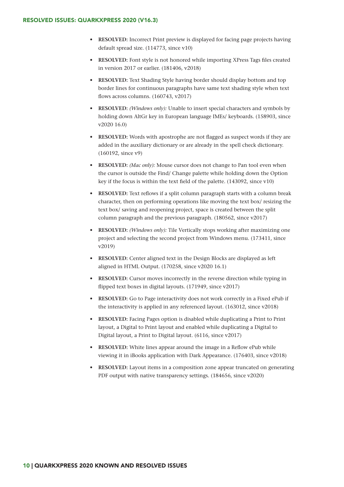- **• RESOLVED:** Incorrect Print preview is displayed for facing page projects having default spread size. (114773, since v10)
- **• RESOLVED:** Font style is not honored while importing XPress Tags files created in version 2017 or earlier. (181406, v2018)
- **• RESOLVED:** Text Shading Style having border should display bottom and top border lines for continuous paragraphs have same text shading style when text flows across columns. (160743, v2017)
- **• RESOLVED:** *(Windows only):* Unable to insert special characters and symbols by holding down AltGr key in European language IMEs/ keyboards. (158903, since v2020 16.0)
- **• RESOLVED:** Words with apostrophe are not flagged as suspect words if they are added in the auxiliary dictionary or are already in the spell check dictionary. (160192, since v9)
- **• RESOLVED:** *(Mac only):* Mouse cursor does not change to Pan tool even when the cursor is outside the Find/ Change palette while holding down the Option key if the focus is within the text field of the palette. (143092, since v10)
- **• RESOLVED:** Text reflows if a split column paragraph starts with a column break character, then on performing operations like moving the text box/ resizing the text box/ saving and reopening project, space is created between the split column paragraph and the previous paragraph. (180562, since v2017)
- **• RESOLVED:** *(Windows only):* Tile Vertically stops working after maximizing one project and selecting the second project from Windows menu. (173411, since v2019)
- **• RESOLVED:** Center aligned text in the Design Blocks are displayed as left aligned in HTML Output. (170258, since v2020 16.1)
- **• RESOLVED:** Cursor moves incorrectly in the reverse direction while typing in flipped text boxes in digital layouts. (171949, since v2017)
- **• RESOLVED:** Go to Page interactivity does not work correctly in a Fixed ePub if the interactivity is applied in any referenced layout. (163012, since v2018)
- **• RESOLVED:** Facing Pages option is disabled while duplicating a Print to Print layout, a Digital to Print layout and enabled while duplicating a Digital to Digital layout, a Print to Digital layout. (6116, since v2017)
- **• RESOLVED:** White lines appear around the image in a Reflow ePub while viewing it in iBooks application with Dark Appearance. (176403, since v2018)
- **• RESOLVED:** Layout items in a composition zone appear truncated on generating PDF output with native transparency settings. (184656, since v2020)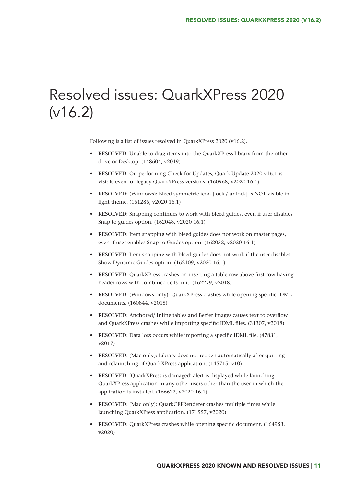## <span id="page-12-0"></span>Resolved issues: QuarkXPress 2020 (v16.2)

Following is a list of issues resolved in QuarkXPress 2020 (v16.2).

- **• RESOLVED:** Unable to drag items into the QuarkXPress library from the other drive or Desktop. (148604, v2019)
- **• RESOLVED:** On performing Check for Updates, Quark Update 2020 v16.1 is visible even for legacy QuarkXPress versions. (160968, v2020 16.1)
- **• RESOLVED:** (Windows): Bleed symmetric icon [lock / unlock] is NOT visible in light theme. (161286, v2020 16.1)
- **• RESOLVED:** Snapping continues to work with bleed guides, even if user disables Snap to guides option. (162048, v2020 16.1)
- **• RESOLVED:** Item snapping with bleed guides does not work on master pages, even if user enables Snap to Guides option. (162052, v2020 16.1)
- **• RESOLVED:** Item snapping with bleed guides does not work if the user disables Show Dynamic Guides option. (162109, v2020 16.1)
- **• RESOLVED:** QuarkXPress crashes on inserting a table row above first row having header rows with combined cells in it. (162279, v2018)
- **• RESOLVED:** (Windows only): QuarkXPress crashes while opening specific IDML documents. (160844, v2018)
- **• RESOLVED:** Anchored/ Inline tables and Bezier images causes text to overflow and QuarkXPress crashes while importing specific IDML files. (31307, v2018)
- **RESOLVED:** Data loss occurs while importing a specific IDML file. (47831, v2017)
- **• RESOLVED:** (Mac only): Library does not reopen automatically after quitting and relaunching of QuarkXPress application. (145715, v10)
- **• RESOLVED:** 'QuarkXPress is damaged' alert is displayed while launching QuarkXPress application in any other users other than the user in which the application is installed. (166622, v2020 16.1)
- **• RESOLVED:** (Mac only): QuarkCEFRenderer crashes multiple times while launching QuarkXPress application. (171557, v2020)
- **RESOLVED:** QuarkXPress crashes while opening specific document. (164953, v2020)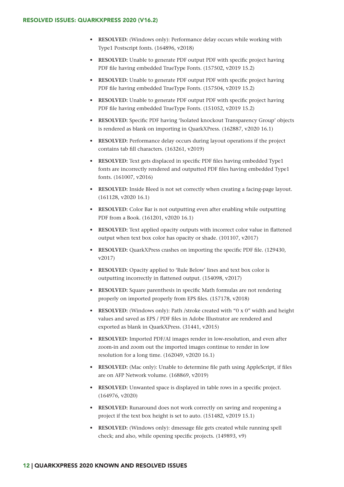- **• RESOLVED:** (Windows only): Performance delay occurs while working with Type1 Postscript fonts. (164896, v2018)
- **• RESOLVED:** Unable to generate PDF output PDF with specific project having PDF file having embedded TrueType Fonts. (157502, v2019 15.2)
- **• RESOLVED:** Unable to generate PDF output PDF with specific project having PDF file having embedded TrueType Fonts. (157504, v2019 15.2)
- **• RESOLVED:** Unable to generate PDF output PDF with specific project having PDF file having embedded TrueType Fonts. (151052, v2019 15.2)
- **• RESOLVED:** Specific PDF having 'Isolated knockout Transparency Group' objects is rendered as blank on importing in QuarkXPress. (162887, v2020 16.1)
- **• RESOLVED:** Performance delay occurs during layout operations if the project contains tab fill characters. (163261, v2019)
- **• RESOLVED:** Text gets displaced in specific PDF files having embedded Type1 fonts are incorrectly rendered and outputted PDF files having embedded Type1 fonts. (161007, v2016)
- **• RESOLVED:** Inside Bleed is not set correctly when creating a facing-page layout. (161128, v2020 16.1)
- **• RESOLVED:** Color Bar is not outputting even after enabling while outputting PDF from a Book. (161201, v2020 16.1)
- **• RESOLVED:** Text applied opacity outputs with incorrect color value in flattened output when text box color has opacity or shade. (101107, v2017)
- **• RESOLVED:** QuarkXPress crashes on importing the specific PDF file. (129430, v2017)
- **• RESOLVED:** Opacity applied to 'Rule Below' lines and text box color is outputting incorrectly in flattened output. (154098, v2017)
- **• RESOLVED:** Square parenthesis in specific Math formulas are not rendering properly on imported properly from EPS files. (157178, v2018)
- **• RESOLVED:** (Windows only): Path /stroke created with "0 x 0" width and height values and saved as EPS / PDF files in Adobe Illustrator are rendered and exported as blank in QuarkXPress. (31441, v2015)
- **• RESOLVED:** Imported PDF/AI images render in low-resolution, and even after zoom-in and zoom out the imported images continue to render in low resolution for a long time. (162049, v2020 16.1)
- **• RESOLVED:** (Mac only): Unable to determine file path using AppleScript, if files are on AFP Network volume. (168869, v2019)
- **• RESOLVED:** Unwanted space is displayed in table rows in a specific project. (164976, v2020)
- **• RESOLVED:** Runaround does not work correctly on saving and reopening a project if the text box height is set to auto. (151482, v2019 15.1)
- **• RESOLVED:** (Windows only): dmessage file gets created while running spell check; and also, while opening specific projects. (149893, v9)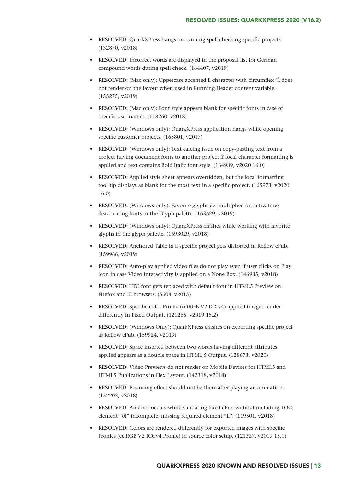- **• RESOLVED:** QuarkXPress hangs on running spell checking specific projects. (132870, v2018)
- **• RESOLVED:** Incorrect words are displayed in the proposal list for German compound words during spell check. (164407, v2019)
- **• RESOLVED:** (Mac only): Uppercase accented E character with circumflex 'Ê does not render on the layout when used in Running Header content variable. (155275, v2019)
- **• RESOLVED:** (Mac only): Font style appears blank for specific fonts in case of specific user names. (118260, v2018)
- **• RESOLVED:** (Windows only): QuarkXPress application hangs while opening specific customer projects. (165801, v2017)
- **• RESOLVED:** (Windows only): Text calcing issue on copy-pasting text from a project having document fonts to another project if local character formatting is applied and text contains Bold Italic font style. (164939, v2020 16.0)
- **• RESOLVED:** Applied style sheet appears overridden, but the local formatting tool tip displays as blank for the most text in a specific project. (165973, v2020 16.0)
- **• RESOLVED:** (Windows only): Favorite glyphs get multiplied on activating/ deactivating fonts in the Glyph palette. (163629, v2019)
- **• RESOLVED:** (Windows only): QuarkXPress crashes while working with favorite glyphs in the glyph palette. (1693029, v2018)
- **• RESOLVED:** Anchored Table in a specific project gets distorted in Reflow ePub. (159966, v2019)
- **• RESOLVED:** Auto-play applied video files do not play even if user clicks on Play icon in case Video interactivity is applied on a None Box. (146935, v2018)
- **• RESOLVED:** TTC font gets replaced with default font in HTML5 Preview on Firefox and IE browsers. (5604, v2015)
- **• RESOLVED:** Specific color Profile (eciRGB V2 ICCv4) applied images render differently in Fixed Output. (121265, v2019 15.2)
- **• RESOLVED:** (Windows Only): QuarkXPress crashes on exporting specific project as Reflow ePub. (159924, v2019)
- **• RESOLVED:** Space inserted between two words having different attributes applied appears as a double space in HTML 5 Output. (128673, v2020)
- **• RESOLVED:** Video Previews do not render on Mobile Devices for HTML5 and HTML5 Publications in Flex Layout. (142318, v2018)
- **• RESOLVED:** Bouncing effect should not be there after playing an animation. (152202, v2018)
- **• RESOLVED:** An error occurs while validating fixed ePub without including TOC: element "ol" incomplete; missing required element "li". (119501, v2018)
- **• RESOLVED:** Colors are rendered differently for exported images with specific Profiles (eciRGB V2 ICCv4 Profile) in source color setup. (121337, v2019 15.1)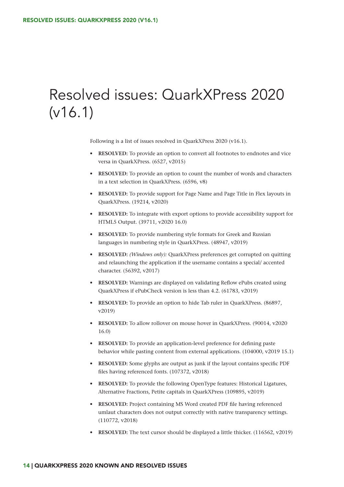# <span id="page-15-0"></span>Resolved issues: QuarkXPress 2020 (v16.1)

Following is a list of issues resolved in QuarkXPress 2020 (v16.1).

- **• RESOLVED:** To provide an option to convert all footnotes to endnotes and vice versa in QuarkXPress. (6527, v2015)
- **• RESOLVED:** To provide an option to count the number of words and characters in a text selection in QuarkXPress. (6596, v8)
- **• RESOLVED:** To provide support for Page Name and Page Title in Flex layouts in QuarkXPress. (19214, v2020)
- **• RESOLVED:** To integrate with export options to provide accessibility support for HTML5 Output. (39711, v2020 16.0)
- **• RESOLVED:** To provide numbering style formats for Greek and Russian languages in numbering style in QuarkXPress. (48947, v2019)
- **• RESOLVED:** *(Windows only):* QuarkXPress preferences get corrupted on quitting and relaunching the application if the username contains a special/ accented character. (56392, v2017)
- **• RESOLVED:** Warnings are displayed on validating Reflow ePubs created using QuarkXPress if ePubCheck version is less than 4.2. (61783, v2019)
- **• RESOLVED:** To provide an option to hide Tab ruler in QuarkXPress. (86897, v2019)
- **• RESOLVED:** To allow rollover on mouse hover in QuarkXPress. (90014, v2020 16.0)
- **• RESOLVED:** To provide an application-level preference for defining paste behavior while pasting content from external applications. (104000, v2019 15.1)
- **• RESOLVED:** Some glyphs are output as junk if the layout contains specific PDF files having referenced fonts. (107372, v2018)
- **• RESOLVED:** To provide the following OpenType features: Historical Ligatures, Alternative Fractions, Petite capitals in QuarkXPress (109895, v2019)
- **• RESOLVED:** Project containing MS Word created PDF file having referenced umlaut characters does not output correctly with native transparency settings. (110772, v2018)
- **• RESOLVED:** The text cursor should be displayed a little thicker. (116562, v2019)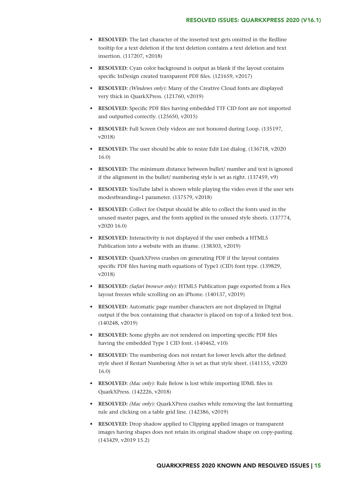- **• RESOLVED:** The last character of the inserted text gets omitted in the Redline tooltip for a text deletion if the text deletion contains a text deletion and text insertion. (117207, v2018)
- **• RESOLVED:** Cyan color background is output as blank if the layout contains specific InDesign created transparent PDF files. (121659, v2017)
- **• RESOLVED:** *(Windows only):* Many of the Creative Cloud fonts are displayed very thick in QuarkXPress. (121760, v2019)
- **• RESOLVED:** Specific PDF files having embedded TTF CID font are not imported and outputted correctly. (125650, v2015)
- **• RESOLVED:** Full Screen Only videos are not honored during Loop. (135197, v2018)
- **• RESOLVED:** The user should be able to resize Edit List dialog. (136718, v2020 16.0)
- **• RESOLVED:** The minimum distance between bullet/ number and text is ignored if the alignment in the bullet/ numbering style is set as right. (137459, v9)
- **• RESOLVED:** YouTube label is shown while playing the video even if the user sets modestbranding=1 parameter. (137579, v2018)
- **• RESOLVED:** Collect for Output should be able to collect the fonts used in the unused master pages, and the fonts applied in the unused style sheets. (137774, v2020 16.0)
- **• RESOLVED:** Interactivity is not displayed if the user embeds a HTML5 Publication into a website with an iframe. (138303, v2019)
- **• RESOLVED:** QuarkXPress crashes on generating PDF if the layout contains specific PDF files having math equations of Type1 (CID) font type. (139829, v2018)
- **• RESOLVED:** *(Safari browser only):* HTML5 Publication page exported from a Flex layout freezes while scrolling on an iPhone. (140137, v2019)
- **• RESOLVED:** Automatic page number characters are not displayed in Digital output if the box containing that character is placed on top of a linked text box. (140248, v2019)
- **• RESOLVED:** Some glyphs are not rendered on importing specific PDF files having the embedded Type 1 CID font. (140462, v10)
- **• RESOLVED:** The numbering does not restart for lower levels after the defined style sheet if Restart Numbering After is set as that style sheet. (141155, v2020 16.0)
- **• RESOLVED:** *(Mac only):* Rule Below is lost while importing IDML files in QuarkXPress. (142226, v2018)
- **• RESOLVED:** *(Mac only):* QuarkXPress crashes while removing the last formatting rule and clicking on a table grid line. (142386, v2019)
- **• RESOLVED:** Drop shadow applied to Clipping applied images or transparent images having shapes does not retain its original shadow shape on copy-pasting. (143429, v2019 15.2)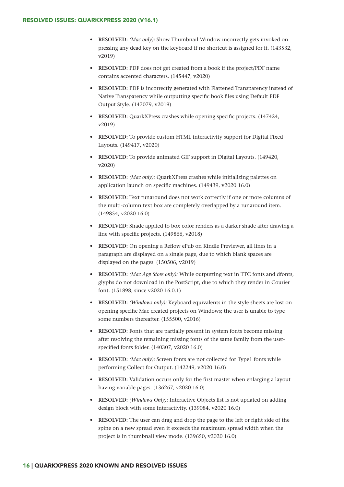- **• RESOLVED:** *(Mac only):* Show Thumbnail Window incorrectly gets invoked on pressing any dead key on the keyboard if no shortcut is assigned for it. (143532, v2019)
- **• RESOLVED:** PDF does not get created from a book if the project/PDF name contains accented characters. (145447, v2020)
- **• RESOLVED:** PDF is incorrectly generated with Flattened Transparency instead of Native Transparency while outputting specific book files using Default PDF Output Style. (147079, v2019)
- **RESOLVED:** QuarkXPress crashes while opening specific projects. (147424, v2019)
- **• RESOLVED:** To provide custom HTML interactivity support for Digital Fixed Layouts. (149417, v2020)
- **• RESOLVED:** To provide animated GIF support in Digital Layouts. (149420, v2020)
- **• RESOLVED:** *(Mac only):* QuarkXPress crashes while initializing palettes on application launch on specific machines. (149439, v2020 16.0)
- **• RESOLVED:** Text runaround does not work correctly if one or more columns of the multi-column text box are completely overlapped by a runaround item. (149854, v2020 16.0)
- **• RESOLVED:** Shade applied to box color renders as a darker shade after drawing a line with specific projects. (149866, v2018)
- **• RESOLVED:** On opening a Reflow ePub on Kindle Previewer, all lines in a paragraph are displayed on a single page, due to which blank spaces are displayed on the pages. (150506, v2019)
- **• RESOLVED:** *(Mac App Store only):* While outputting text in TTC fonts and dfonts, glyphs do not download in the PostScript, due to which they render in Courier font. (151898, since v2020 16.0.1)
- **• RESOLVED:** *(Windows only):* Keyboard equivalents in the style sheets are lost on opening specific Mac created projects on Windows; the user is unable to type some numbers thereafter. (155500, v2016)
- **• RESOLVED:** Fonts that are partially present in system fonts become missing after resolving the remaining missing fonts of the same family from the userspecified fonts folder. (140307, v2020 16.0)
- **RESOLVED:** (Mac only): Screen fonts are not collected for Type1 fonts while performing Collect for Output. (142249, v2020 16.0)
- **• RESOLVED:** Validation occurs only for the first master when enlarging a layout having variable pages. (136267, v2020 16.0)
- **• RESOLVED:** *(Windows Only)*: Interactive Objects list is not updated on adding design block with some interactivity. (139084, v2020 16.0)
- **• RESOLVED:** The user can drag and drop the page to the left or right side of the spine on a new spread even it exceeds the maximum spread width when the project is in thumbnail view mode. (139650, v2020 16.0)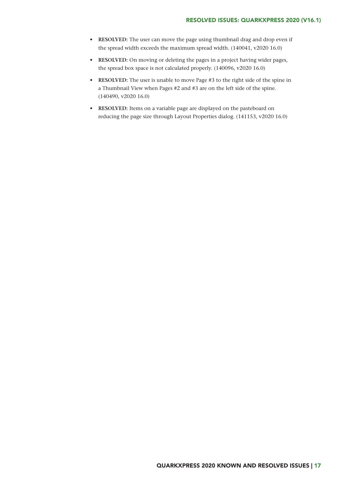- **• RESOLVED:** The user can move the page using thumbnail drag and drop even if the spread width exceeds the maximum spread width. (140041, v2020 16.0)
- **• RESOLVED:** On moving or deleting the pages in a project having wider pages, the spread box space is not calculated properly. (140096, v2020 16.0)
- **• RESOLVED:** The user is unable to move Page #3 to the right side of the spine in a Thumbnail View when Pages #2 and #3 are on the left side of the spine. (140490, v2020 16.0)
- **RESOLVED:** Items on a variable page are displayed on the pasteboard on reducing the page size through Layout Properties dialog. (141153, v2020 16.0)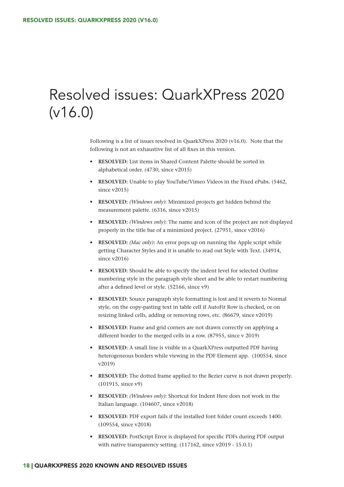## <span id="page-19-0"></span>Resolved issues: QuarkXPress 2020 (v16.0)

Following is a list of issues resolved in QuarkXPress 2020 (v16.0). Note that the following is not an exhaustive list of all fixes in this version.

- **• RESOLVED:** List items in Shared Content Palette should be sorted in alphabetical order. (4730, since v2015)
- **• RESOLVED:** Unable to play YouTube/Vimeo Videos in the Fixed ePubs. (5462, since v2015)
- **• RESOLVED:** *(Windows only)*: Minimized projects get hidden behind the measurement palette. (6316, since v2015)
- **• RESOLVED:** *(Windows only)*: The name and icon of the project are not displayed properly in the title bar of a minimized project. (27951, since v2016)
- **• RESOLVED:** *(Mac only)*: An error pops up on running the Apple script while getting Character Styles and it is unable to read out Style with Text. (34914, since v2016)
- **• RESOLVED:** Should be able to specify the indent level for selected Outline numbering style in the paragraph style sheet and be able to restart numbering after a defined level or style. (52166, since v9)
- **• RESOLVED:** Source paragraph style formatting is lost and it reverts to Normal style, on the copy-pasting text in table cell if AutoFit Row is checked, or on resizing linked cells, adding or removing rows, etc. (86679, since v2019)
- **• RESOLVED:** Frame and grid corners are not drawn correctly on applying a different border to the merged cells in a row. (87955, since v 2019)
- **• RESOLVED:** A small line is visible in a QuarkXPress outputted PDF having heterogeneous borders while viewing in the PDF Element app. (100554, since v2019)
- **• RESOLVED:** The dotted frame applied to the Bezier curve is not drawn properly. (101915, since v9)
- **• RESOLVED:** *(Windows only)*: Shortcut for Indent Here does not work in the Italian language. (104607**,** since v2018)
- **• RESOLVED:** PDF export fails if the installed font folder count exceeds 1400. (109554, since v2018)
- **• RESOLVED:** PostScript Error is displayed for specific PDFs during PDF output with native transparency setting. (117162, since v2019 - 15.0.1)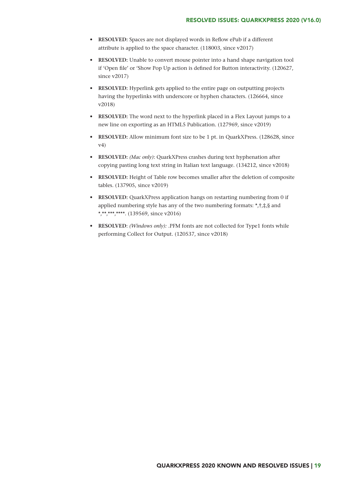- **• RESOLVED:** Spaces are not displayed words in Reflow ePub if a different attribute is applied to the space character. (118003, since v2017)
- **• RESOLVED:** Unable to convert mouse pointer into a hand shape navigation tool if 'Open file' or 'Show Pop Up action is defined for Button interactivity. (120627, since v2017)
- **• RESOLVED:** Hyperlink gets applied to the entire page on outputting projects having the hyperlinks with underscore or hyphen characters. (126664, since v2018)
- **• RESOLVED:** The word next to the hyperlink placed in a Flex Layout jumps to a new line on exporting as an HTML5 Publication. (127969, since v2019)
- **• RESOLVED:** Allow minimum font size to be 1 pt. in QuarkXPress. (128628, since v4)
- **• RESOLVED:** *(Mac only)*: QuarkXPress crashes during text hyphenation after copying pasting long text string in Italian text language. (134212, since v2018)
- **• RESOLVED:** Height of Table row becomes smaller after the deletion of composite tables. (137905, since v2019)
- **• RESOLVED:** QuarkXPress application hangs on restarting numbering from 0 if applied numbering style has any of the two numbering formats:  $\dot{\tau}, \dot{\tau}, \dot{\tau}, \dot{\xi}$  and \*,\*\*,\*\*\*,\*\*\*\*, (139569, since v2016)
- **• RESOLVED**: *(Windows only):* .PFM fonts are not collected for Type1 fonts while performing Collect for Output. (120537, since v2018)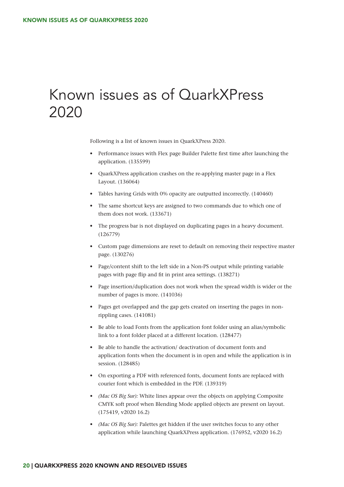## Known issues as of QuarkXPress 2020

Following is a list of known issues in QuarkXPress 2020.

- Performance issues with Flex page Builder Palette first time after launching the application. (135599)
- QuarkXPress application crashes on the re-applying master page in a Flex Layout. (136064)
- Tables having Grids with 0% opacity are outputted incorrectly. (140460)
- The same shortcut keys are assigned to two commands due to which one of them does not work. (133671)
- The progress bar is not displayed on duplicating pages in a heavy document. (126779)
- Custom page dimensions are reset to default on removing their respective master page. (130276)
- Page/content shift to the left side in a Non-PS output while printing variable pages with page flip and fit in print area settings. (138271)
- Page insertion/duplication does not work when the spread width is wider or the number of pages is more. (141036)
- Pages get overlapped and the gap gets created on inserting the pages in nonrippling cases. (141081)
- Be able to load Fonts from the application font folder using an alias/symbolic link to a font folder placed at a different location. (128477)
- Be able to handle the activation/ deactivation of document fonts and application fonts when the document is in open and while the application is in session. (128485)
- On exporting a PDF with referenced fonts, document fonts are replaced with courier font which is embedded in the PDF. (139319)
- *• (Mac OS Big Sur):* White lines appear over the objects on applying Composite CMYK soft proof when Blending Mode applied objects are present on layout. (175419, v2020 16.2)
- *• (Mac OS Big Sur):* Palettes get hidden if the user switches focus to any other application while launching QuarkXPress application. (176952, v2020 16.2)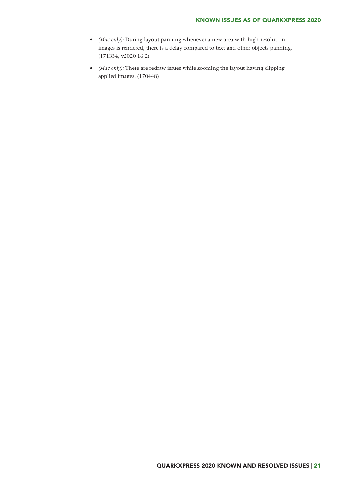- *• (Mac only):* During layout panning whenever a new area with high-resolution images is rendered, there is a delay compared to text and other objects panning. (171334, v2020 16.2)
- *• (Mac only):* There are redraw issues while zooming the layout having clipping applied images. (170448)